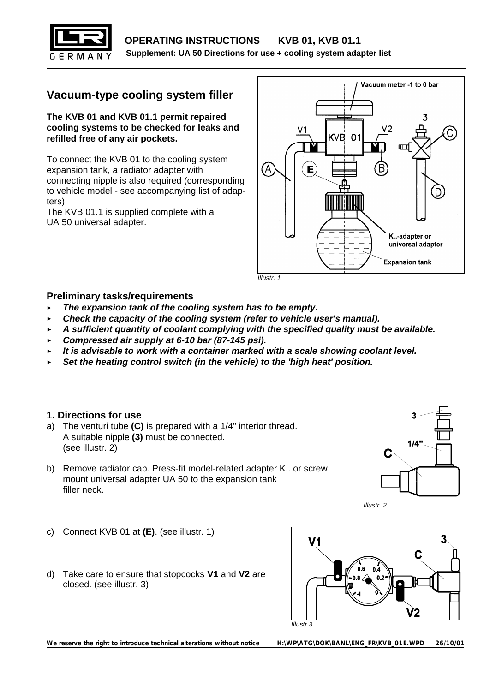

# **Vacuum-type cooling system filler**

**The KVB 01 and KVB 01.1 permit repaired cooling systems to be checked for leaks and refilled free of any air pockets.**

To connect the KVB 01 to the cooling system expansion tank, a radiator adapter with connecting nipple is also required (corresponding to vehicle model - see accompanying list of adapters).

The KVB 01.1 is supplied complete with a UA 50 universal adapter.



*Illustr. 1*

#### **Preliminary tasks/requirements**

- **<** *The expansion tank of the cooling system has to be empty.*
- **<** *Check the capacity of the cooling system (refer to vehicle user's manual).*
- **<** *A sufficient quantity of coolant complying with the specified quality must be available.*
- **<** *Compressed air supply at 6-10 bar (87-145 psi).*
- **<** *It is advisable to work with a container marked with a scale showing coolant level.*
- **<** *Set the heating control switch (in the vehicle) to the 'high heat' position.*

# **1. Directions for use**

- a) The venturi tube **(C)** is prepared with a 1/4" interior thread. A suitable nipple **(3)** must be connected. (see illustr. 2)
- b) Remove radiator cap. Press-fit model-related adapter K.. or screw mount universal adapter UA 50 to the expansion tank filler neck.





- c) Connect KVB 01 at **(E)**. (see illustr. 1)
- d) Take care to ensure that stopcocks **V1** and **V2** are closed. (see illustr. 3)



*We reserve the right to introduce technical alterations without notice H:\WP\ATG\DOK\BANL\ENG\_FR\KVB\_01E.WPD 26/10/01*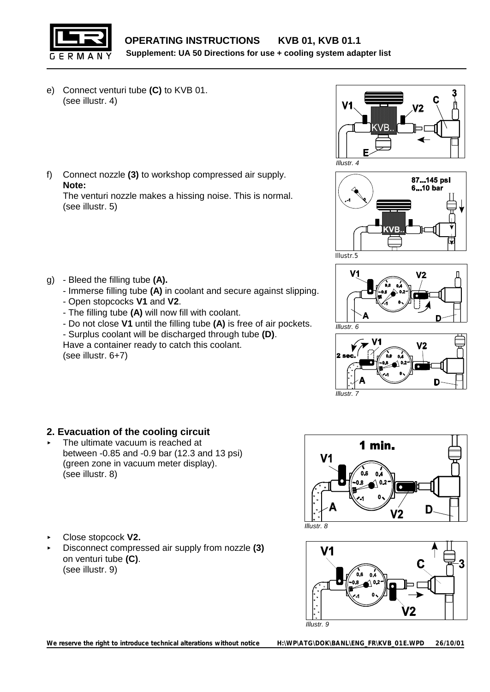

- e) Connect venturi tube **(C)** to KVB 01. (see illustr. 4)
- f) Connect nozzle **(3)** to workshop compressed air supply. **Note:**

The venturi nozzle makes a hissing noise. This is normal. (see illustr. 5)

- g) Bleed the filling tube **(A).**
	- Immerse filling tube **(A)** in coolant and secure against slipping.
	- Open stopcocks **V1** and **V2**.
	- The filling tube **(A)** will now fill with coolant.
	- Do not close **V1** until the filling tube **(A)** is free of air pockets.
	- Surplus coolant will be discharged through tube **(D)**.
	- Have a container ready to catch this coolant. (see illustr. 6+7)









# **2. Evacuation of the cooling circuit**

- The ultimate vacuum is reached at between -0.85 and -0.9 bar (12.3 and 13 psi) (green zone in vacuum meter display). (see illustr. 8)
- < Close stopcock **V2.**
- < Disconnect compressed air supply from nozzle **(3)** on venturi tube **(C)**. (see illustr. 9)



*Illustr. 8*



*We reserve the right to introduce technical alterations without notice H:\WP\ATG\DOK\BANL\ENG\_FR\KVB\_01E.WPD 26/10/01*